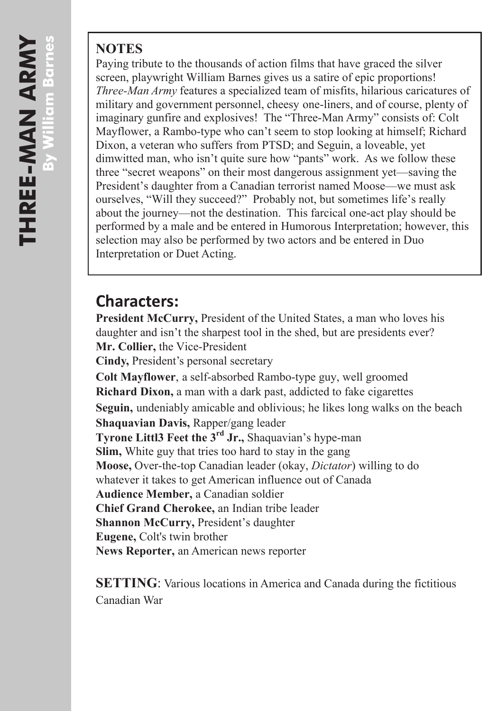## **NOTES**

Paying tribute to the thousands of action films that have graced the silver screen, playwright William Barnes gives us a satire of epic proportions! *Three-Man Army* features a specialized team of misfits, hilarious caricatures of military and government personnel, cheesy one-liners, and of course, plenty of imaginary gunfire and explosives! The "Three-Man Army" consists of: Colt Mayflower, a Rambo-type who can't seem to stop looking at himself; Richard Dixon, a veteran who suffers from PTSD; and Seguin, a loveable, yet dimwitted man, who isn't quite sure how "pants" work. As we follow these three "secret weapons" on their most dangerous assignment yet—saving the President's daughter from a Canadian terrorist named Moose—we must ask ourselves, "Will they succeed?" Probably not, but sometimes life's really about the journey—not the destination. This farcical one-act play should be performed by a male and be entered in Humorous Interpretation; however, this selection may also be performed by two actors and be entered in Duo Interpretation or Duet Acting.

## **Characters:**

**President McCurry,** President of the United States, a man who loves his daughter and isn't the sharpest tool in the shed, but are presidents ever? **Mr. Collier,** the Vice-President **Cindy,** President's personal secretary **Colt Mayflower**, a self-absorbed Rambo-type guy, well groomed **Richard Dixon,** a man with a dark past, addicted to fake cigarettes **Seguin,** undeniably amicable and oblivious; he likes long walks on the beach **Shaquavian Davis,** Rapper/gang leader **Tyrone Littl3 Feet the 3rd Jr.,** Shaquavian's hype-man **Slim,** White guy that tries too hard to stay in the gang **Moose,** Over-the-top Canadian leader (okay, *Dictator*) willing to do whatever it takes to get American influence out of Canada **Audience Member,** a Canadian soldier **Chief Grand Cherokee,** an Indian tribe leader **Shannon McCurry,** President's daughter **Eugene,** Colt's twin brother **News Reporter,** an American news reporter

**SETTING**: Various locations in America and Canada during the fictitious Canadian War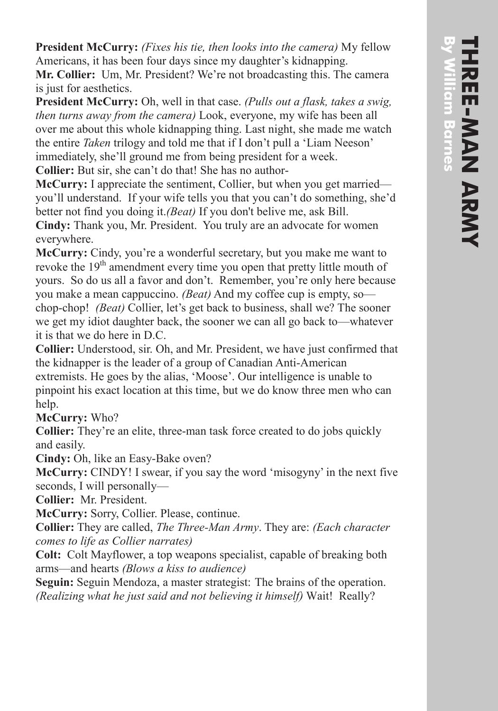**President McCurry:** *(Fixes his tie, then looks into the camera)* My fellow Americans, it has been four days since my daughter's kidnapping.

**Mr. Collier:** Um, Mr. President? We're not broadcasting this. The camera is just for aesthetics.

**President McCurry:** Oh, well in that case. *(Pulls out a flask, takes a swig, then turns away from the camera)* Look, everyone, my wife has been all over me about this whole kidnapping thing. Last night, she made me watch the entire *Taken* trilogy and told me that if I don't pull a 'Liam Neeson' immediately, she'll ground me from being president for a week.

**Collier:** But sir, she can't do that! She has no author-

**McCurry:** I appreciate the sentiment, Collier, but when you get married you'll understand. If your wife tells you that you can't do something, she'd better not find you doing it.*(Beat)* If you don't belive me, ask Bill. **Cindy:** Thank you, Mr. President. You truly are an advocate for women everywhere.

**McCurry:** Cindy, you're a wonderful secretary, but you make me want to revoke the  $19<sup>th</sup>$  amendment every time you open that pretty little mouth of yours. So do us all a favor and don't. Remember, you're only here because you make a mean cappuccino. *(Beat)* And my coffee cup is empty, so chop-chop! *(Beat)* Collier, let's get back to business, shall we? The sooner we get my idiot daughter back, the sooner we can all go back to—whatever it is that we do here in D.C.

**Collier:** Understood, sir. Oh, and Mr. President, we have just confirmed that the kidnapper is the leader of a group of Canadian Anti-American extremists. He goes by the alias, 'Moose'. Our intelligence is unable to pinpoint his exact location at this time, but we do know three men who can help.

**McCurry:** Who?

**Collier:** They're an elite, three-man task force created to do jobs quickly and easily.

**Cindy:** Oh, like an Easy-Bake oven?

**McCurry:** CINDY! I swear, if you say the word 'misogyny' in the next five seconds, I will personally—

**Collier:** Mr. President.

**McCurry:** Sorry, Collier. Please, continue.

**Collier:** They are called, *The Three-Man Army*. They are: *(Each character comes to life as Collier narrates)*

**Colt:** Colt Mayflower, a top weapons specialist, capable of breaking both arms—and hearts *(Blows a kiss to audience)*

**Seguin:** Seguin Mendoza, a master strategist: The brains of the operation. *(Realizing what he just said and not believing it himself)* Wait! Really?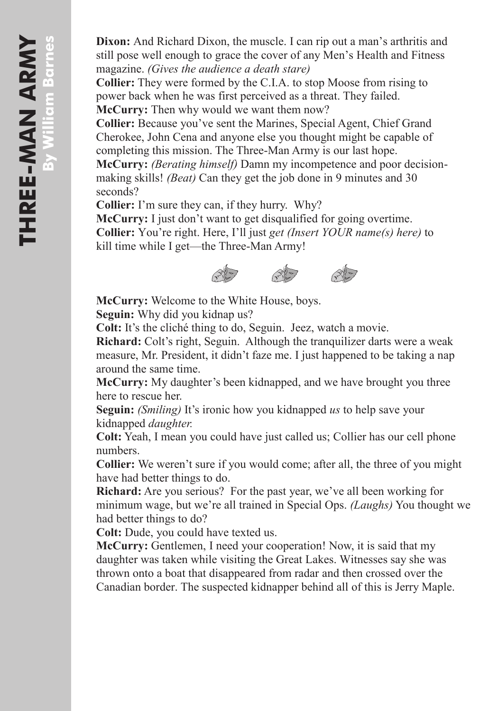**Dixon:** And Richard Dixon, the muscle. I can rip out a man's arthritis and still pose well enough to grace the cover of any Men's Health and Fitness magazine. *(Gives the audience a death stare)*

**Collier:** They were formed by the C.I.A. to stop Moose from rising to power back when he was first perceived as a threat. They failed. **McCurry:** Then why would we want them now?

**Collier:** Because you've sent the Marines, Special Agent, Chief Grand Cherokee, John Cena and anyone else you thought might be capable of completing this mission. The Three-Man Army is our last hope.

**McCurry:** *(Berating himself)* Damn my incompetence and poor decisionmaking skills! *(Beat)* Can they get the job done in 9 minutes and 30 seconds?

**Collier:** I'm sure they can, if they hurry. Why?

**McCurry:** I just don't want to get disqualified for going overtime. **Collier:** You're right. Here, I'll just *get (Insert YOUR name(s) here)* to kill time while I get—the Three-Man Army!



**McCurry:** Welcome to the White House, boys.

**Seguin:** Why did you kidnap us?

**Colt:** It's the cliché thing to do, Seguin. Jeez, watch a movie.

**Richard:** Colt's right, Seguin. Although the tranquilizer darts were a weak measure, Mr. President, it didn't faze me. I just happened to be taking a nap around the same time.

**McCurry:** My daughter's been kidnapped, and we have brought you three here to rescue her.

**Seguin:** *(Smiling)* It's ironic how you kidnapped *us* to help save your kidnapped *daughter.*

**Colt:** Yeah, I mean you could have just called us; Collier has our cell phone numbers.

**Collier:** We weren't sure if you would come; after all, the three of you might have had better things to do.

**Richard:** Are you serious? For the past year, we've all been working for minimum wage, but we're all trained in Special Ops. *(Laughs)* You thought we had better things to do?

**Colt:** Dude, you could have texted us.

**McCurry:** Gentlemen, I need your cooperation! Now, it is said that my daughter was taken while visiting the Great Lakes. Witnesses say she was thrown onto a boat that disappeared from radar and then crossed over the Canadian border. The suspected kidnapper behind all of this is Jerry Maple.